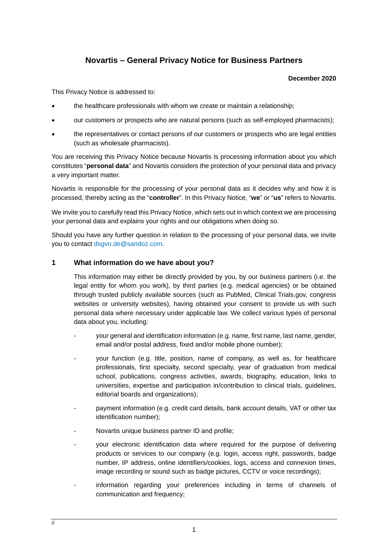# **Novartis – General Privacy Notice for Business Partners**

#### **December 2020**

This Privacy Notice is addressed to:

- the healthcare professionals with whom we create or maintain a relationship;
- our customers or prospects who are natural persons (such as self-employed pharmacists);
- the representatives or contact persons of our customers or prospects who are legal entities (such as wholesale pharmacists).

You are receiving this Privacy Notice because Novartis is processing information about you which constitutes "**personal data**" and Novartis considers the protection of your personal data and privacy a very important matter.

Novartis is responsible for the processing of your personal data as it decides why and how it is processed, thereby acting as the "**controller**". In this Privacy Notice, "**we**" or "**us**" refers to Novartis.

We invite you to carefully read this Privacy Notice, which sets out in which context we are processing your personal data and explains your rights and our obligations when doing so.

Should you have any further question in relation to the processing of your personal data, we invite you to contact [dsgvo.de@sandoz.com.](mailto:dsgvo.de@sandoz.com)

## **1 What information do we have about you?**

This information may either be directly provided by you, by our business partners (i.e. the legal entity for whom you work), by third parties (e.g. medical agencies) or be obtained through trusted publicly available sources (such as PubMed, Clinical Trials.gov, congress websites or university websites), having obtained your consent to provide us with such personal data where necessary under applicable law. We collect various types of personal data about you, including:

- your general and identification information (e.g. name, first name, last name, gender, email and/or postal address, fixed and/or mobile phone number);
- your function (e.g. title, position, name of company, as well as, for healthcare professionals, first specialty, second specialty, year of graduation from medical school, publications, congress activities, awards, biography, education, links to universities, expertise and participation in/contribution to clinical trials, guidelines, editorial boards and organizations);
- payment information (e.g. credit card details, bank account details, VAT or other tax identification number);
- Novartis unique business partner ID and profile;
- your electronic identification data where required for the purpose of delivering products or services to our company (e.g. login, access right, passwords, badge number, IP address, online identifiers/cookies, logs, access and connexion times, image recording or sound such as badge pictures, CCTV or voice recordings);
- information regarding your preferences including in terms of channels of communication and frequency;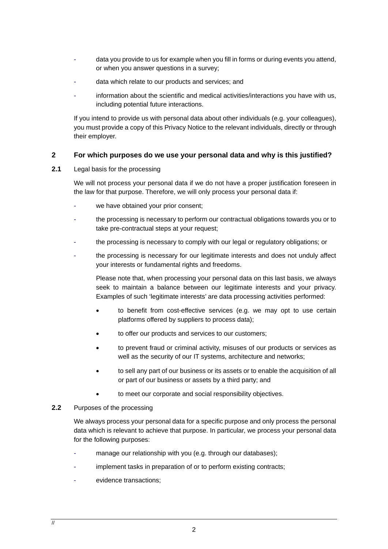- data you provide to us for example when you fill in forms or during events you attend, or when you answer questions in a survey;
- data which relate to our products and services; and
- information about the scientific and medical activities/interactions you have with us, including potential future interactions.

If you intend to provide us with personal data about other individuals (e.g. your colleagues), you must provide a copy of this Privacy Notice to the relevant individuals, directly or through their employer.

# **2 For which purposes do we use your personal data and why is this justified?**

## **2.1** Legal basis for the processing

We will not process your personal data if we do not have a proper justification foreseen in the law for that purpose. Therefore, we will only process your personal data if:

- we have obtained your prior consent;
- the processing is necessary to perform our contractual obligations towards you or to take pre-contractual steps at your request;
- the processing is necessary to comply with our legal or regulatory obligations; or
- the processing is necessary for our legitimate interests and does not unduly affect your interests or fundamental rights and freedoms.

Please note that, when processing your personal data on this last basis, we always seek to maintain a balance between our legitimate interests and your privacy. Examples of such 'legitimate interests' are data processing activities performed:

- to benefit from cost-effective services (e.g. we may opt to use certain platforms offered by suppliers to process data);
- to offer our products and services to our customers;
- to prevent fraud or criminal activity, misuses of our products or services as well as the security of our IT systems, architecture and networks;
- to sell any part of our business or its assets or to enable the acquisition of all or part of our business or assets by a third party; and
- to meet our corporate and social responsibility objectives.

# **2.2** Purposes of the processing

We always process your personal data for a specific purpose and only process the personal data which is relevant to achieve that purpose. In particular, we process your personal data for the following purposes:

- manage our relationship with you (e.g. through our databases);
- implement tasks in preparation of or to perform existing contracts;
- evidence transactions: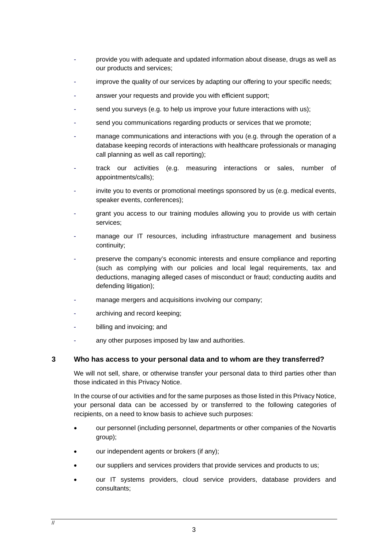- provide you with adequate and updated information about disease, drugs as well as our products and services;
- improve the quality of our services by adapting our offering to your specific needs;
- answer your requests and provide you with efficient support;
- send you surveys (e.g. to help us improve your future interactions with us);
- send you communications regarding products or services that we promote;
- manage communications and interactions with you (e.g. through the operation of a database keeping records of interactions with healthcare professionals or managing call planning as well as call reporting);
- track our activities (e.g. measuring interactions or sales, number of appointments/calls);
- invite you to events or promotional meetings sponsored by us (e.g. medical events, speaker events, conferences);
- grant you access to our training modules allowing you to provide us with certain services;
- manage our IT resources, including infrastructure management and business continuity;
- preserve the company's economic interests and ensure compliance and reporting (such as complying with our policies and local legal requirements, tax and deductions, managing alleged cases of misconduct or fraud; conducting audits and defending litigation);
- manage mergers and acquisitions involving our company;
- archiving and record keeping;
- billing and invoicing; and
- any other purposes imposed by law and authorities.

#### **3 Who has access to your personal data and to whom are they transferred?**

We will not sell, share, or otherwise transfer your personal data to third parties other than those indicated in this Privacy Notice.

In the course of our activities and for the same purposes as those listed in this Privacy Notice, your personal data can be accessed by or transferred to the following categories of recipients, on a need to know basis to achieve such purposes:

- our personnel (including personnel, departments or other companies of the Novartis group);
- our independent agents or brokers (if any);
- our suppliers and services providers that provide services and products to us;
- our IT systems providers, cloud service providers, database providers and consultants;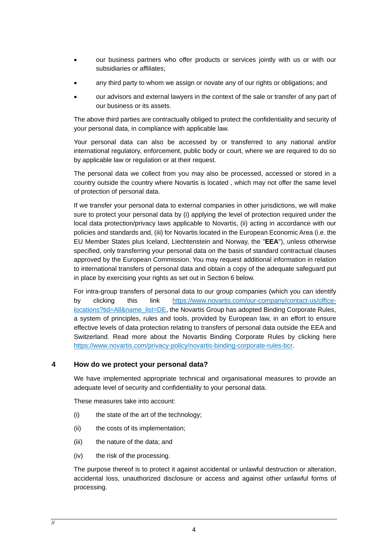- our business partners who offer products or services jointly with us or with our subsidiaries or affiliates;
- any third party to whom we assign or novate any of our rights or obligations; and
- our advisors and external lawyers in the context of the sale or transfer of any part of our business or its assets.

The above third parties are contractually obliged to protect the confidentiality and security of your personal data, in compliance with applicable law.

Your personal data can also be accessed by or transferred to any national and/or international regulatory, enforcement, public body or court, where we are required to do so by applicable law or regulation or at their request.

The personal data we collect from you may also be processed, accessed or stored in a country outside the country where Novartis is located , which may not offer the same level of protection of personal data.

If we transfer your personal data to external companies in other jurisdictions, we will make sure to protect your personal data by (i) applying the level of protection required under the local data protection/privacy laws applicable to Novartis, (ii) acting in accordance with our policies and standards and, (iii) for Novartis located in the European Economic Area (i.e. the EU Member States plus Iceland, Liechtenstein and Norway, the "**EEA**"), unless otherwise specified, only transferring your personal data on the basis of standard contractual clauses approved by the European Commission. You may request additional information in relation to international transfers of personal data and obtain a copy of the adequate safeguard put in place by exercising your rights as set out in Section [6](#page-4-0) below.

For intra-group transfers of personal data to our group companies (which you can identify by clicking this link [https://www.novartis.com/our-company/contact-us/office](https://www.novartis.com/our-company/contact-us/office-locations?tid=All&name_list=DE)[locations?tid=All&name\\_list=DE,](https://www.novartis.com/our-company/contact-us/office-locations?tid=All&name_list=DE) the Novartis Group has adopted Binding Corporate Rules, a system of principles, rules and tools, provided by European law, in an effort to ensure effective levels of data protection relating to transfers of personal data outside the EEA and Switzerland. Read more about the Novartis Binding Corporate Rules by clicking here [https://www.novartis.com/privacy-policy/novartis-binding-corporate-rules-bcr.](https://www.novartis.com/privacy-policy/novartis-binding-corporate-rules-bcr)

# **4 How do we protect your personal data?**

We have implemented appropriate technical and organisational measures to provide an adequate level of security and confidentiality to your personal data.

These measures take into account:

- (i) the state of the art of the technology;
- (ii) the costs of its implementation;
- (iii) the nature of the data; and
- (iv) the risk of the processing.

The purpose thereof is to protect it against accidental or unlawful destruction or alteration, accidental loss, unauthorized disclosure or access and against other unlawful forms of processing.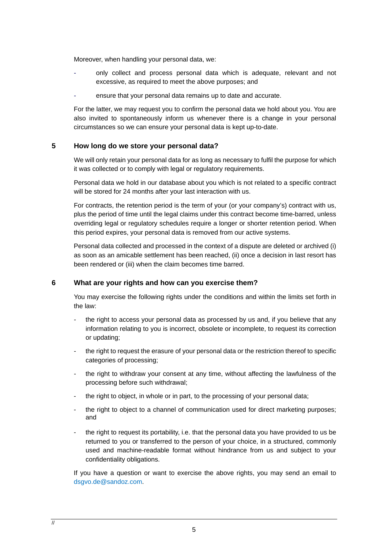Moreover, when handling your personal data, we:

- only collect and process personal data which is adequate, relevant and not excessive, as required to meet the above purposes; and
- ensure that your personal data remains up to date and accurate.

For the latter, we may request you to confirm the personal data we hold about you. You are also invited to spontaneously inform us whenever there is a change in your personal circumstances so we can ensure your personal data is kept up-to-date.

## **5 How long do we store your personal data?**

We will only retain your personal data for as long as necessary to fulfil the purpose for which it was collected or to comply with legal or regulatory requirements.

Personal data we hold in our database about you which is not related to a specific contract will be stored for 24 months after your last interaction with us.

For contracts, the retention period is the term of your (or your company's) contract with us, plus the period of time until the legal claims under this contract become time-barred, unless overriding legal or regulatory schedules require a longer or shorter retention period. When this period expires, your personal data is removed from our active systems.

Personal data collected and processed in the context of a dispute are deleted or archived (i) as soon as an amicable settlement has been reached, (ii) once a decision in last resort has been rendered or (iii) when the claim becomes time barred.

#### <span id="page-4-0"></span>**6 What are your rights and how can you exercise them?**

You may exercise the following rights under the conditions and within the limits set forth in the law:

- the right to access your personal data as processed by us and, if you believe that any information relating to you is incorrect, obsolete or incomplete, to request its correction or updating;
- the right to request the erasure of your personal data or the restriction thereof to specific categories of processing;
- the right to withdraw your consent at any time, without affecting the lawfulness of the processing before such withdrawal;
- the right to object, in whole or in part, to the processing of your personal data;
- the right to object to a channel of communication used for direct marketing purposes; and
- the right to request its portability, i.e. that the personal data you have provided to us be returned to you or transferred to the person of your choice, in a structured, commonly used and machine-readable format without hindrance from us and subject to your confidentiality obligations.

If you have a question or want to exercise the above rights, you may send an email to [dsgvo.de@sandoz.com.](mailto:dsgvo.de@sandoz.com)